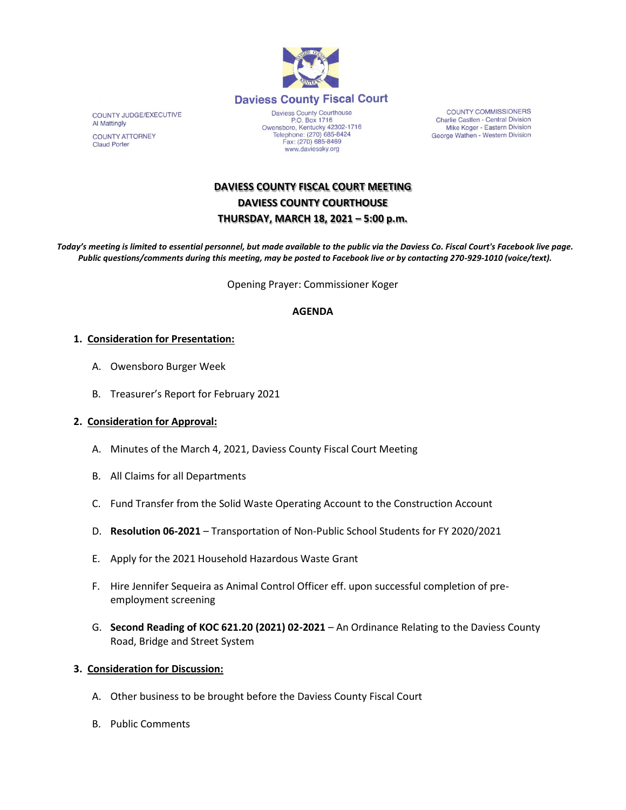

COUNTY JUDGE/EXECUTIVE Al Mattingly **COUNTY ATTORNEY** 

**Claud Porter** 

Daviess County Courthouse P.O. Box 1716<br>Depends 1716<br>Comparison Centucky 42302-1716<br>Telephone: (270) 685-8424 Fax: (270) 685-8469 www.daviessky.org

**COUNTY COMMISSIONERS** Charlie Castlen - Central Division<br>Mike Koger - Eastern Division George Wathen - Western Division

# **DAVIESS COUNTY FISCAL COURT MEETING DAVIESS COUNTY COURTHOUSE THURSDAY, MARCH 18, 2021 – 5:00 p.m.**

*Today's meeting is limited to essential personnel, but made available to the public via the Daviess Co. Fiscal Court's Facebook live page. Public questions/comments during this meeting, may be posted to Facebook live or by contacting 270-929-1010 (voice/text).*

Opening Prayer: Commissioner Koger

### **AGENDA**

#### **1. Consideration for Presentation:**

- A. Owensboro Burger Week
- B. Treasurer's Report for February 2021

#### **2. Consideration for Approval:**

- A. Minutes of the March 4, 2021, Daviess County Fiscal Court Meeting
- B. All Claims for all Departments
- C. Fund Transfer from the Solid Waste Operating Account to the Construction Account
- D. **Resolution 06-2021** Transportation of Non-Public School Students for FY 2020/2021
- E. Apply for the 2021 Household Hazardous Waste Grant
- F. Hire Jennifer Sequeira as Animal Control Officer eff. upon successful completion of preemployment screening
- G. **Second Reading of KOC 621.20 (2021) 02-2021** An Ordinance Relating to the Daviess County Road, Bridge and Street System

#### **3. Consideration for Discussion:**

- A. Other business to be brought before the Daviess County Fiscal Court
- B. Public Comments